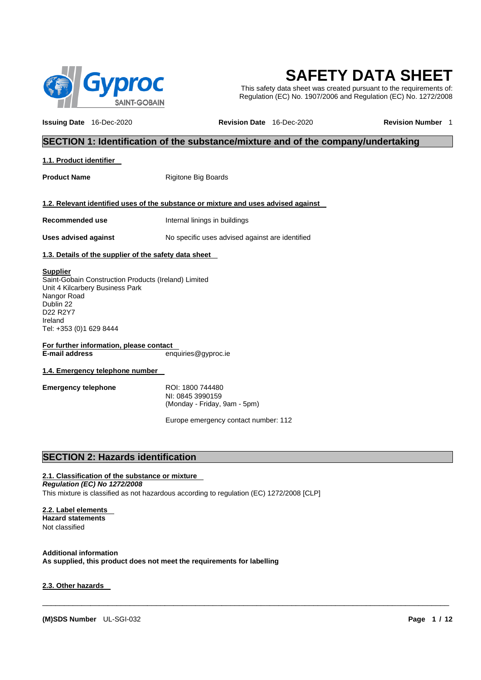

# **SAFETY DATA SHEET**

This safety data sheet was created pursuant to the requirements of: Regulation (EC) No. 1907/2006 and Regulation (EC) No. 1272/2008

**Issuing Date** 16-Dec-2020 **Revision Date** 16-Dec-2020 **Revision Number** 1

# **SECTION 1: Identification of the substance/mixture and of the company/undertaking**

#### **1.1. Product identifier**

**Product Name** Rigitone Big Boards

#### **1.2. Relevant identified uses of the substance or mixture and uses advised against**

**Recommended use** Internal linings in buildings

**Uses advised against** No specific uses advised against are identified

#### **1.3. Details of the supplier of the safety data sheet**

#### **Supplier**

Saint-Gobain Construction Products (Ireland) Limited Unit 4 Kilcarbery Business Park Nangor Road Dublin 22 D22 R2Y7 Ireland Tel: +353 (0)1 629 8444

**For further information, please contact**<br>**E-mail address** en **E-mail address** enquiries@gyproc.ie

**1.4. Emergency telephone number**

**Emergency telephone** ROI: 1800 744480 NI: 0845 3990159 (Monday - Friday, 9am - 5pm)

Europe emergency contact number: 112

\_\_\_\_\_\_\_\_\_\_\_\_\_\_\_\_\_\_\_\_\_\_\_\_\_\_\_\_\_\_\_\_\_\_\_\_\_\_\_\_\_\_\_\_\_\_\_\_\_\_\_\_\_\_\_\_\_\_\_\_\_\_\_\_\_\_\_\_\_\_\_\_\_\_\_\_\_\_\_\_\_\_\_\_\_\_\_\_\_\_\_\_\_

# **SECTION 2: Hazards identification**

# **2.1. Classification of the substance or mixture**

*Regulation (EC) No 1272/2008*

This mixture is classified as not hazardous according to regulation (EC) 1272/2008 [CLP]

#### **2.2. Label elements**

**Hazard statements** Not classified

**Additional information As supplied, this product does not meet the requirements for labelling**

#### **2.3. Other hazards**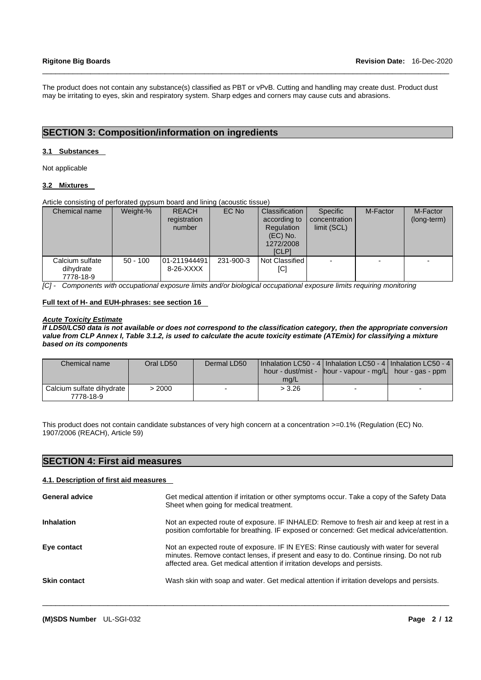The product does not contain any substance(s) classified as PBT or vPvB. Cutting and handling may create dust. Product dust may be irritating to eyes, skin and respiratory system. Sharp edges and corners may cause cuts and abrasions.

\_\_\_\_\_\_\_\_\_\_\_\_\_\_\_\_\_\_\_\_\_\_\_\_\_\_\_\_\_\_\_\_\_\_\_\_\_\_\_\_\_\_\_\_\_\_\_\_\_\_\_\_\_\_\_\_\_\_\_\_\_\_\_\_\_\_\_\_\_\_\_\_\_\_\_\_\_\_\_\_\_\_\_\_\_\_\_\_\_\_\_\_\_

# **SECTION 3: Composition/information on ingredients**

#### **3.1 Substances**

Not applicable

#### **3.2 Mixtures**

Article consisting of perforated gypsum board and lining (acoustic tissue)

| Chemical name                             | Weight-%   | <b>REACH</b><br>registration<br>number | EC No     | Classification<br>according to<br>Regulation<br>$(EC)$ No.<br>1272/2008<br><b>ICLPI</b> | Specific<br>concentration<br>limit (SCL) | M-Factor | M-Factor<br>(long-term) |
|-------------------------------------------|------------|----------------------------------------|-----------|-----------------------------------------------------------------------------------------|------------------------------------------|----------|-------------------------|
| Calcium sulfate<br>dihydrate<br>7778-18-9 | $50 - 100$ | 01-211944491<br>8-26-XXXX              | 231-900-3 | Not Classified<br>[C]                                                                   |                                          |          |                         |

*[C] - Components with occupational exposure limits and/or biological occupational exposure limits requiring monitoring*

#### **Full text of H- and EUH-phrases: see section 16**

#### *Acute Toxicity Estimate*

*If LD50/LC50 data is not available or does not correspond to the classification category, then the appropriate conversion value from CLP Annex I, Table 3.1.2, is used to calculate the acute toxicity estimate (ATEmix) for classifying a mixture based on its components*

| Chemical name                          | Oral LD50 | Dermal LD50 | mq/L   | l Inhalation LC50 - 4   Inhalation LC50 - 4   Inhalation LC50 - 4  <br>hour - dust/mist - $\parallel$ hour - vapour - mg/ $\parallel$ hour - gas - ppm |  |
|----------------------------------------|-----------|-------------|--------|--------------------------------------------------------------------------------------------------------------------------------------------------------|--|
| Calcium sulfate dihydrate<br>7778-18-9 | > 2000    |             | > 3.26 |                                                                                                                                                        |  |

This product does not contain candidate substances of very high concern at a concentration >=0.1% (Regulation (EC) No. 1907/2006 (REACH), Article 59)

| <b>SECTION 4: First aid measures</b>   |                                                                                                                                                                                                                                                                |
|----------------------------------------|----------------------------------------------------------------------------------------------------------------------------------------------------------------------------------------------------------------------------------------------------------------|
| 4.1. Description of first aid measures |                                                                                                                                                                                                                                                                |
| General advice                         | Get medical attention if irritation or other symptoms occur. Take a copy of the Safety Data<br>Sheet when going for medical treatment.                                                                                                                         |
| <b>Inhalation</b>                      | Not an expected route of exposure. IF INHALED: Remove to fresh air and keep at rest in a<br>position comfortable for breathing. IF exposed or concerned: Get medical advice/attention.                                                                         |
| Eye contact                            | Not an expected route of exposure. IF IN EYES: Rinse cautiously with water for several<br>minutes. Remove contact lenses, if present and easy to do. Continue rinsing. Do not rub<br>affected area. Get medical attention if irritation develops and persists. |
| <b>Skin contact</b>                    | Wash skin with soap and water. Get medical attention if irritation develops and persists.                                                                                                                                                                      |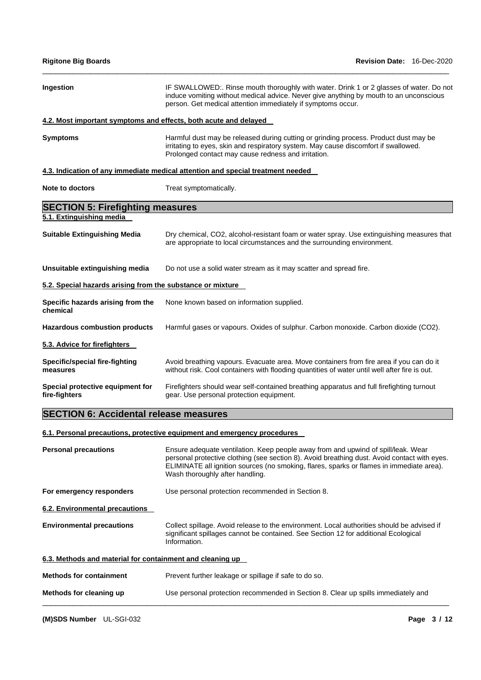| <b>Rigitone Big Boards</b>                                       | <b>Revision Date: 16-Dec-2020</b>                                                                                                                                                                                                                                                                                |  |  |
|------------------------------------------------------------------|------------------------------------------------------------------------------------------------------------------------------------------------------------------------------------------------------------------------------------------------------------------------------------------------------------------|--|--|
| Ingestion                                                        | IF SWALLOWED:. Rinse mouth thoroughly with water. Drink 1 or 2 glasses of water. Do not<br>induce vomiting without medical advice. Never give anything by mouth to an unconscious<br>person. Get medical attention immediately if symptoms occur.                                                                |  |  |
| 4.2. Most important symptoms and effects, both acute and delayed |                                                                                                                                                                                                                                                                                                                  |  |  |
| <b>Symptoms</b>                                                  | Harmful dust may be released during cutting or grinding process. Product dust may be<br>irritating to eyes, skin and respiratory system. May cause discomfort if swallowed.<br>Prolonged contact may cause redness and irritation.                                                                               |  |  |
|                                                                  | 4.3. Indication of any immediate medical attention and special treatment needed                                                                                                                                                                                                                                  |  |  |
| Note to doctors                                                  | Treat symptomatically.                                                                                                                                                                                                                                                                                           |  |  |
| <b>SECTION 5: Firefighting measures</b>                          |                                                                                                                                                                                                                                                                                                                  |  |  |
| 5.1. Extinguishing media                                         |                                                                                                                                                                                                                                                                                                                  |  |  |
| <b>Suitable Extinguishing Media</b>                              | Dry chemical, CO2, alcohol-resistant foam or water spray. Use extinguishing measures that<br>are appropriate to local circumstances and the surrounding environment.                                                                                                                                             |  |  |
| Unsuitable extinguishing media                                   | Do not use a solid water stream as it may scatter and spread fire.                                                                                                                                                                                                                                               |  |  |
| 5.2. Special hazards arising from the substance or mixture       |                                                                                                                                                                                                                                                                                                                  |  |  |
| Specific hazards arising from the<br>chemical                    | None known based on information supplied.                                                                                                                                                                                                                                                                        |  |  |
| <b>Hazardous combustion products</b>                             | Harmful gases or vapours. Oxides of sulphur. Carbon monoxide. Carbon dioxide (CO2).                                                                                                                                                                                                                              |  |  |
| 5.3. Advice for firefighters                                     |                                                                                                                                                                                                                                                                                                                  |  |  |
| <b>Specific/special fire-fighting</b><br>measures                | Avoid breathing vapours. Evacuate area. Move containers from fire area if you can do it<br>without risk. Cool containers with flooding quantities of water until well after fire is out.                                                                                                                         |  |  |
| Special protective equipment for<br>fire-fighters                | Firefighters should wear self-contained breathing apparatus and full firefighting turnout<br>gear. Use personal protection equipment.                                                                                                                                                                            |  |  |
| <b>SECTION 6: Accidental release measures</b>                    |                                                                                                                                                                                                                                                                                                                  |  |  |
|                                                                  | 6.1. Personal precautions, protective equipment and emergency procedures                                                                                                                                                                                                                                         |  |  |
| <b>Personal precautions</b>                                      | Ensure adequate ventilation. Keep people away from and upwind of spill/leak. Wear<br>personal protective clothing (see section 8). Avoid breathing dust. Avoid contact with eyes.<br>ELIMINATE all ignition sources (no smoking, flares, sparks or flames in immediate area).<br>Wash thoroughly after handling. |  |  |
| For emergency responders                                         | Use personal protection recommended in Section 8.                                                                                                                                                                                                                                                                |  |  |
| 6.2. Environmental precautions                                   |                                                                                                                                                                                                                                                                                                                  |  |  |
| <b>Environmental precautions</b>                                 | Collect spillage. Avoid release to the environment. Local authorities should be advised if<br>significant spillages cannot be contained. See Section 12 for additional Ecological<br>Information.                                                                                                                |  |  |
| 6.3. Methods and material for containment and cleaning up        |                                                                                                                                                                                                                                                                                                                  |  |  |
| <b>Methods for containment</b>                                   | Prevent further leakage or spillage if safe to do so.                                                                                                                                                                                                                                                            |  |  |
| Methods for cleaning up                                          | Use personal protection recommended in Section 8. Clear up spills immediately and                                                                                                                                                                                                                                |  |  |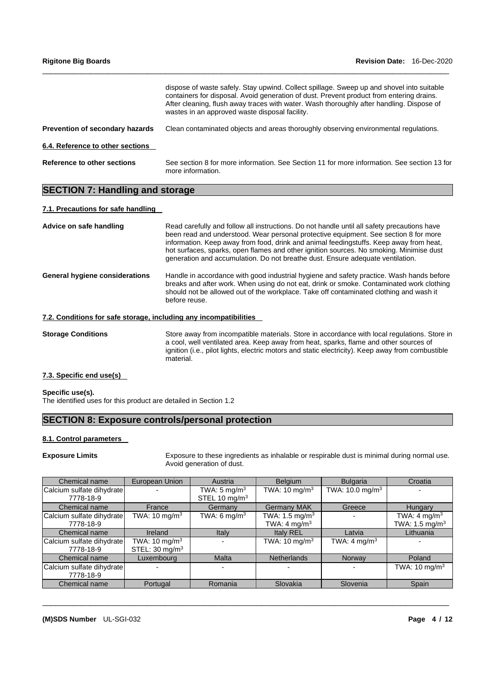| <b>Rigitone Big Boards</b>             | <b>Revision Date: 16-Dec-2020</b>                                                                                                                                                                                                                                                                                                   |  |  |
|----------------------------------------|-------------------------------------------------------------------------------------------------------------------------------------------------------------------------------------------------------------------------------------------------------------------------------------------------------------------------------------|--|--|
|                                        | dispose of waste safely. Stay upwind. Collect spillage. Sweep up and shovel into suitable<br>containers for disposal. Avoid generation of dust. Prevent product from entering drains.<br>After cleaning, flush away traces with water. Wash thoroughly after handling. Dispose of<br>wastes in an approved waste disposal facility. |  |  |
| <b>Prevention of secondary hazards</b> | Clean contaminated objects and areas thoroughly observing environmental regulations.                                                                                                                                                                                                                                                |  |  |
| 6.4. Reference to other sections       |                                                                                                                                                                                                                                                                                                                                     |  |  |
| Reference to other sections            | See section 8 for more information. See Section 11 for more information. See section 13 for<br>more information.                                                                                                                                                                                                                    |  |  |

# **SECTION 7: Handling and storage**

## **7.1. Precautions for safe handling**

| Advice on safe handling                                           | Read carefully and follow all instructions. Do not handle until all safety precautions have<br>been read and understood. Wear personal protective equipment. See section 8 for more<br>information. Keep away from food, drink and animal feedingstuffs. Keep away from heat,<br>hot surfaces, sparks, open flames and other ignition sources. No smoking. Minimise dust<br>generation and accumulation. Do not breathe dust. Ensure adequate ventilation. |
|-------------------------------------------------------------------|------------------------------------------------------------------------------------------------------------------------------------------------------------------------------------------------------------------------------------------------------------------------------------------------------------------------------------------------------------------------------------------------------------------------------------------------------------|
| <b>General hygiene considerations</b>                             | Handle in accordance with good industrial hygiene and safety practice. Wash hands before<br>breaks and after work. When using do not eat, drink or smoke. Contaminated work clothing<br>should not be allowed out of the workplace. Take off contaminated clothing and wash it<br>before reuse.                                                                                                                                                            |
| 7.2. Conditions for safe storage, including any incompatibilities |                                                                                                                                                                                                                                                                                                                                                                                                                                                            |
| <b>Storage Conditions</b>                                         | Store away from incompatible materials. Store in accordance with local regulations. Store in                                                                                                                                                                                                                                                                                                                                                               |

**7.3. Specific end use(s)**

**Specific use(s).** The identified uses for this product are detailed in Section 1.2

# **SECTION 8: Exposure controls/personal protection**

material.

#### **8.1. Control parameters**

**Exposure Limits** Exposure to these ingredients as inhalable or respirable dust is minimal during normal use. Avoid generation of dust.

a cool, well ventilated area. Keep away from heat, sparks, flame and other sources of ignition (i.e., pilot lights, electric motors and static electricity). Keep away from combustible

| Chemical name             | European Union             | Austria                   | <b>Belgium</b>             | <b>Bulgaria</b>               | Croatia                      |
|---------------------------|----------------------------|---------------------------|----------------------------|-------------------------------|------------------------------|
| Calcium sulfate dihydrate |                            | TWA: $5 \text{ mg/m}^3$   | TWA: $10 \text{ mg/m}^3$   | TWA: $10.0$ mg/m <sup>3</sup> |                              |
| 7778-18-9                 |                            | STEL 10 mg/m <sup>3</sup> |                            |                               |                              |
| Chemical name             | France                     | Germany                   | <b>Germany MAK</b>         | Greece                        | <b>Hungary</b>               |
| Calcium sulfate dihydrate | TWA: 10 mg/m $^3$          | TWA: 6 mg/m $3$           | TWA: 1.5 mg/m <sup>3</sup> |                               | TWA: 4 mg/m <sup>3</sup>     |
| 7778-18-9                 |                            |                           | TWA: $4 \text{ mg/m}^3$    |                               | TWA: $1.5$ mg/m <sup>3</sup> |
| Chemical name             | Ireland                    | Italy                     | Italy REL                  | Latvia                        | Lithuania                    |
| Calcium sulfate dihydrate | TWA: $10 \text{ mg/m}^3$   |                           | TWA: 10 mg/m $3$           | TWA: $4 \text{ mg/m}^3$       |                              |
| 7778-18-9                 | STEL: 30 mg/m <sup>3</sup> |                           |                            |                               |                              |
| Chemical name             | Luxembourg                 | <b>Malta</b>              | <b>Netherlands</b>         | Norway                        | Poland                       |
| Calcium sulfate dihydrate |                            |                           |                            |                               | TWA: $10 \text{ mg/m}^3$     |
| 7778-18-9                 |                            |                           |                            |                               |                              |
| Chemical name             | Portugal                   | Romania                   | Slovakia                   | Slovenia                      | Spain                        |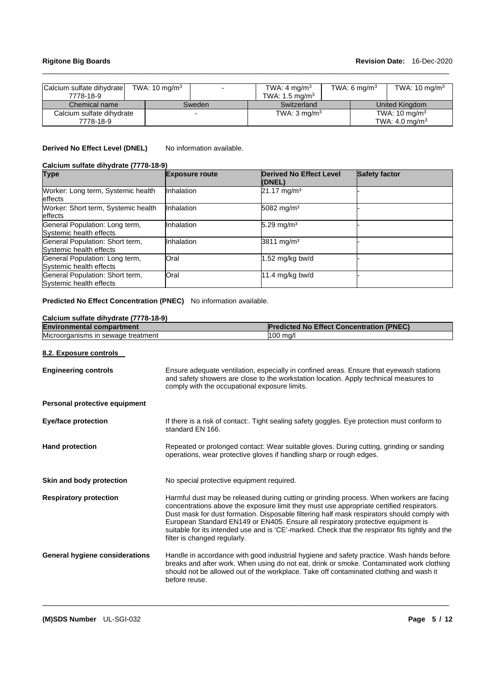## **Rigitone Big Boards Revision Date:** 16-Dec-2020

| Calcium sulfate dihydrate<br>7778-18-9 | TWA: $10 \text{ mg/m}^3$ |        | TWA: $4 \text{ mg/m}^3$<br>TWA: 1.5 mg/m <sup>3</sup> |  | TWA: 6 mg/m <sup>3</sup> | TWA: $10 \text{ mg/m}^3$                              |
|----------------------------------------|--------------------------|--------|-------------------------------------------------------|--|--------------------------|-------------------------------------------------------|
| Chemical name                          |                          | Sweden | Switzerland                                           |  |                          | United Kingdom                                        |
| Calcium sulfate dihydrate<br>7778-18-9 |                          |        | TWA: $3 \text{ mg/m}^3$                               |  |                          | TWA: $10 \text{ mg/m}^3$<br>TWA: $4.0 \text{ mg/m}^3$ |

\_\_\_\_\_\_\_\_\_\_\_\_\_\_\_\_\_\_\_\_\_\_\_\_\_\_\_\_\_\_\_\_\_\_\_\_\_\_\_\_\_\_\_\_\_\_\_\_\_\_\_\_\_\_\_\_\_\_\_\_\_\_\_\_\_\_\_\_\_\_\_\_\_\_\_\_\_\_\_\_\_\_\_\_\_\_\_\_\_\_\_\_\_

# **Derived No Effect Level (DNEL)** No information available.

# **Calcium sulfate dihydrate (7778-18-9)**

| <b>Type</b>                                                | <b>Exposure route</b> | <b>Derived No Effect Level</b><br>(DNEL) | Safety factor |
|------------------------------------------------------------|-----------------------|------------------------------------------|---------------|
| Worker: Long term, Systemic health<br>effects              | Inhalation            | $21.17 \text{ mg/m}^3$                   |               |
| Worker: Short term, Systemic health<br>effects             | Inhalation            | 5082 mg/m <sup>3</sup>                   |               |
| General Population: Long term,<br>Systemic health effects  | Inhalation            | 5.29 mg/m <sup>3</sup>                   |               |
| General Population: Short term,<br>Systemic health effects | Inhalation            | 3811 mg/m <sup>3</sup>                   |               |
| General Population: Long term,<br>Systemic health effects  | Oral                  | $1.52$ mg/kg bw/d                        |               |
| General Population: Short term,<br>Systemic health effects | Oral                  | 11.4 mg/kg bw/d                          |               |

## **Predicted No Effect Concentration (PNEC)** No information available.

| <b>Environmental compartment</b>      | <b>Predicted No Effect Concentration (PNEC)</b>                                                                                                                                                                                                                                                                                                                                                                                                                                                             |  |  |
|---------------------------------------|-------------------------------------------------------------------------------------------------------------------------------------------------------------------------------------------------------------------------------------------------------------------------------------------------------------------------------------------------------------------------------------------------------------------------------------------------------------------------------------------------------------|--|--|
| Microorganisms in sewage treatment    | 100 mg/l                                                                                                                                                                                                                                                                                                                                                                                                                                                                                                    |  |  |
| 8.2. Exposure controls                |                                                                                                                                                                                                                                                                                                                                                                                                                                                                                                             |  |  |
| <b>Engineering controls</b>           | Ensure adequate ventilation, especially in confined areas. Ensure that eyewash stations<br>and safety showers are close to the workstation location. Apply technical measures to<br>comply with the occupational exposure limits.                                                                                                                                                                                                                                                                           |  |  |
| Personal protective equipment         |                                                                                                                                                                                                                                                                                                                                                                                                                                                                                                             |  |  |
| <b>Eye/face protection</b>            | If there is a risk of contact:. Tight sealing safety goggles. Eye protection must conform to<br>standard EN 166.                                                                                                                                                                                                                                                                                                                                                                                            |  |  |
| <b>Hand protection</b>                | Repeated or prolonged contact: Wear suitable gloves. During cutting, grinding or sanding<br>operations, wear protective gloves if handling sharp or rough edges.                                                                                                                                                                                                                                                                                                                                            |  |  |
| Skin and body protection              | No special protective equipment required.                                                                                                                                                                                                                                                                                                                                                                                                                                                                   |  |  |
| <b>Respiratory protection</b>         | Harmful dust may be released during cutting or grinding process. When workers are facing<br>concentrations above the exposure limit they must use appropriate certified respirators.<br>Dust mask for dust formation. Disposable filtering half mask respirators should comply with<br>European Standard EN149 or EN405. Ensure all respiratory protective equipment is<br>suitable for its intended use and is 'CE'-marked. Check that the respirator fits tightly and the<br>filter is changed regularly. |  |  |
| <b>General hygiene considerations</b> | Handle in accordance with good industrial hygiene and safety practice. Wash hands before<br>breaks and after work. When using do not eat, drink or smoke. Contaminated work clothing<br>should not be allowed out of the workplace. Take off contaminated clothing and wash it<br>before reuse.                                                                                                                                                                                                             |  |  |

\_\_\_\_\_\_\_\_\_\_\_\_\_\_\_\_\_\_\_\_\_\_\_\_\_\_\_\_\_\_\_\_\_\_\_\_\_\_\_\_\_\_\_\_\_\_\_\_\_\_\_\_\_\_\_\_\_\_\_\_\_\_\_\_\_\_\_\_\_\_\_\_\_\_\_\_\_\_\_\_\_\_\_\_\_\_\_\_\_\_\_\_\_

# **Calcium sulfate dihydrate (7778-18-9)**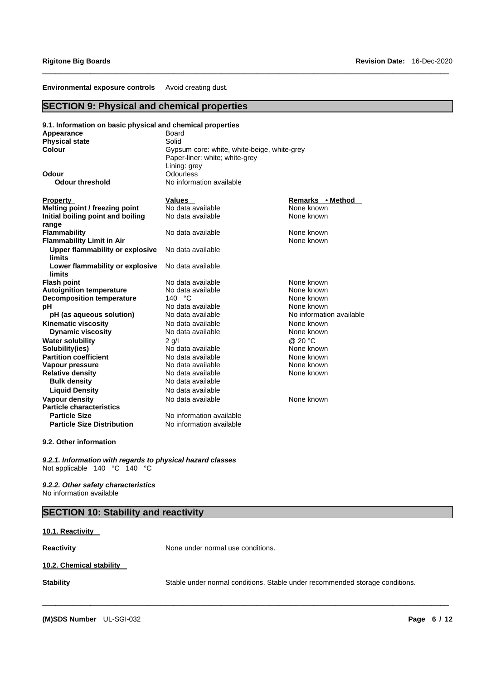**Environmental exposure controls** Avoid creating dust.

# **SECTION 9: Physical and chemical properties**

| 9.1. Information on basic physical and chemical properties |                                             |                          |  |  |
|------------------------------------------------------------|---------------------------------------------|--------------------------|--|--|
| Appearance                                                 | Board                                       |                          |  |  |
| <b>Physical state</b>                                      | Solid                                       |                          |  |  |
| Colour                                                     | Gypsum core: white, white-beige, white-grey |                          |  |  |
|                                                            | Paper-liner: white; white-grey              |                          |  |  |
|                                                            | Lining: grey                                |                          |  |  |
| Odour                                                      | Odourless                                   |                          |  |  |
| <b>Odour threshold</b>                                     | No information available                    |                          |  |  |
| <b>Property</b>                                            | <b>Values</b>                               | Remarks • Method         |  |  |
| Melting point / freezing point                             | No data available                           | None known               |  |  |
| Initial boiling point and boiling                          | No data available                           | None known               |  |  |
| range                                                      |                                             |                          |  |  |
| Flammability                                               | No data available                           | None known               |  |  |
| <b>Flammability Limit in Air</b>                           |                                             | None known               |  |  |
| <b>Upper flammability or explosive</b>                     | No data available                           |                          |  |  |
| <b>limits</b>                                              |                                             |                          |  |  |
| Lower flammability or explosive                            | No data available                           |                          |  |  |
| limits                                                     |                                             |                          |  |  |
| <b>Flash point</b>                                         | No data available                           | None known               |  |  |
| <b>Autoignition temperature</b>                            | No data available                           | None known               |  |  |
| <b>Decomposition temperature</b>                           | 140 °C                                      | None known               |  |  |
| рH                                                         | No data available                           | None known               |  |  |
| pH (as aqueous solution)                                   | No data available                           | No information available |  |  |
| <b>Kinematic viscosity</b>                                 | No data available                           | None known               |  |  |
| <b>Dynamic viscosity</b>                                   | No data available                           | None known               |  |  |
| <b>Water solubility</b>                                    | $2$ q/l                                     | @ 20 °C                  |  |  |
| Solubility(ies)                                            | No data available                           | None known               |  |  |
| <b>Partition coefficient</b>                               | No data available                           | None known               |  |  |
| Vapour pressure                                            | No data available                           | None known               |  |  |
| <b>Relative density</b>                                    | No data available                           | None known               |  |  |
| <b>Bulk density</b>                                        | No data available                           |                          |  |  |
| <b>Liquid Density</b>                                      | No data available                           |                          |  |  |
| Vapour density                                             | No data available                           | None known               |  |  |
| <b>Particle characteristics</b>                            |                                             |                          |  |  |
| <b>Particle Size</b>                                       | No information available                    |                          |  |  |
| <b>Particle Size Distribution</b>                          | No information available                    |                          |  |  |

\_\_\_\_\_\_\_\_\_\_\_\_\_\_\_\_\_\_\_\_\_\_\_\_\_\_\_\_\_\_\_\_\_\_\_\_\_\_\_\_\_\_\_\_\_\_\_\_\_\_\_\_\_\_\_\_\_\_\_\_\_\_\_\_\_\_\_\_\_\_\_\_\_\_\_\_\_\_\_\_\_\_\_\_\_\_\_\_\_\_\_\_\_

#### **9.2. Other information**

*9.2.1. Information with regards to physical hazard classes* Not applicable 140 °C 140 °C

*9.2.2. Other safety characteristics* No information available

# **SECTION 10: Stability and reactivity**

## **10.1. Reactivity**

**Reactivity Reactivity None under normal use conditions.** 

\_\_\_\_\_\_\_\_\_\_\_\_\_\_\_\_\_\_\_\_\_\_\_\_\_\_\_\_\_\_\_\_\_\_\_\_\_\_\_\_\_\_\_\_\_\_\_\_\_\_\_\_\_\_\_\_\_\_\_\_\_\_\_\_\_\_\_\_\_\_\_\_\_\_\_\_\_\_\_\_\_\_\_\_\_\_\_\_\_\_\_\_\_

## **10.2. Chemical stability**

**Stability** Stable under normal conditions. Stable under recommended storage conditions.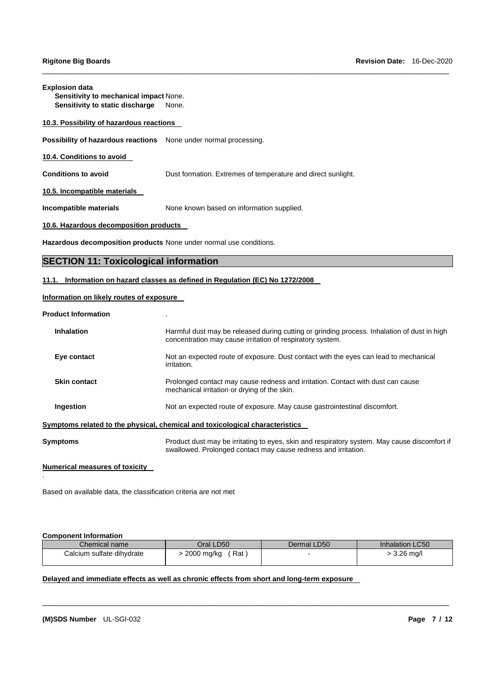#### **Explosion data**

**Sensitivity to mechanical impact** None. **Sensitivity to static discharge** None.

## **10.3. Possibility of hazardous reactions**

**Possibility of hazardous reactions** None under normal processing.

## **10.4. Conditions to avoid**

**Conditions to avoid Dust formation. Extremes of temperature and direct sunlight.** 

\_\_\_\_\_\_\_\_\_\_\_\_\_\_\_\_\_\_\_\_\_\_\_\_\_\_\_\_\_\_\_\_\_\_\_\_\_\_\_\_\_\_\_\_\_\_\_\_\_\_\_\_\_\_\_\_\_\_\_\_\_\_\_\_\_\_\_\_\_\_\_\_\_\_\_\_\_\_\_\_\_\_\_\_\_\_\_\_\_\_\_\_\_

**10.5. Incompatible materials**

**Incompatible materials** None known based on information supplied.

## **10.6. Hazardous decomposition products**

**Hazardous decomposition products** None under normal use conditions.

# **SECTION 11: Toxicological information**

#### **11.1. Information on hazard classes as defined in Regulation (EC) No 1272/2008**

## **Information on likely routes of exposure**

#### **Product Information** .

| <b>Inhalation</b>   | Harmful dust may be released during cutting or grinding process. Inhalation of dust in high<br>concentration may cause irritation of respiratory system.       |
|---------------------|----------------------------------------------------------------------------------------------------------------------------------------------------------------|
| Eye contact         | Not an expected route of exposure. Dust contact with the eyes can lead to mechanical<br>irritation.                                                            |
| <b>Skin contact</b> | Prolonged contact may cause redness and irritation. Contact with dust can cause<br>mechanical irritation or drying of the skin.                                |
| Ingestion           | Not an expected route of exposure. May cause gastrointestinal discomfort.                                                                                      |
|                     | Symptoms related to the physical, chemical and toxicological characteristics                                                                                   |
| Symptoms            | Product dust may be irritating to eyes, skin and respiratory system. May cause discomfort if<br>swallowed. Prolonged contact may cause redness and irritation. |

#### **Numerical measures of toxicity**

Based on available data, the classification criteria are not met

#### **Component Information**

.

| Chemical name             | Oral LD50         | Dermal LD50 | Inhalation LC50 |
|---------------------------|-------------------|-------------|-----------------|
| Calcium sulfate dihydrate | Rat<br>2000 mg/kg |             | ∙ 3.26 mg/l     |

\_\_\_\_\_\_\_\_\_\_\_\_\_\_\_\_\_\_\_\_\_\_\_\_\_\_\_\_\_\_\_\_\_\_\_\_\_\_\_\_\_\_\_\_\_\_\_\_\_\_\_\_\_\_\_\_\_\_\_\_\_\_\_\_\_\_\_\_\_\_\_\_\_\_\_\_\_\_\_\_\_\_\_\_\_\_\_\_\_\_\_\_\_

# **Delayed and immediate effects as well as chronic effects from short and long-term exposure**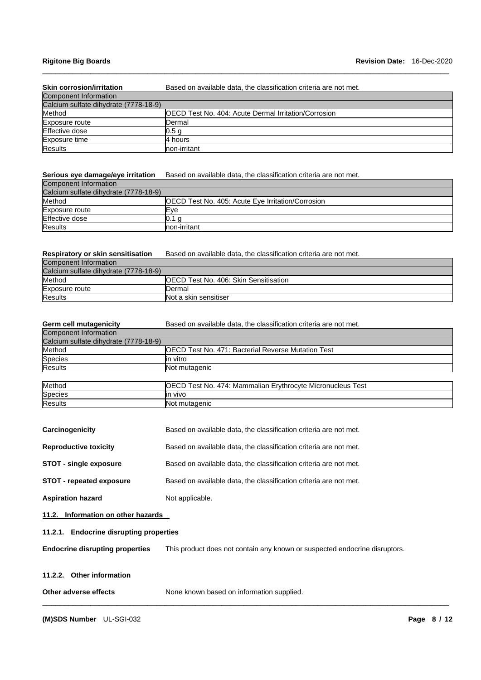## **Rigitone Big Boards Revision Date:** 16-Dec-2020

| <b>Skin corrosion/irritation</b>      | Based on available data, the classification criteria are not met. |
|---------------------------------------|-------------------------------------------------------------------|
| <b>Component Information</b>          |                                                                   |
| Calcium sulfate dihydrate (7778-18-9) |                                                                   |
| Method                                | <b>IOECD Test No. 404: Acute Dermal Irritation/Corrosion</b>      |
| Exposure route                        | Dermal                                                            |
| Effective dose                        | 0.5 g                                                             |
| Exposure time                         | 4 hours                                                           |
| <b>Results</b>                        | non-irritant                                                      |

\_\_\_\_\_\_\_\_\_\_\_\_\_\_\_\_\_\_\_\_\_\_\_\_\_\_\_\_\_\_\_\_\_\_\_\_\_\_\_\_\_\_\_\_\_\_\_\_\_\_\_\_\_\_\_\_\_\_\_\_\_\_\_\_\_\_\_\_\_\_\_\_\_\_\_\_\_\_\_\_\_\_\_\_\_\_\_\_\_\_\_\_\_

## Serious eye damage/eye irritation Based on available data, the classification criteria are not met.

| Component Information                 |                                                          |
|---------------------------------------|----------------------------------------------------------|
| Calcium sulfate dihydrate (7778-18-9) |                                                          |
| Method                                | <b>OECD Test No. 405: Acute Eye Irritation/Corrosion</b> |
| Exposure route                        | Eve                                                      |
| Effective dose                        |                                                          |
| <b>Results</b>                        | non-irritant                                             |

# **Respiratory or skin sensitisation** Based on available data, the classification criteria are not met.

| Component Information                 |                                               |
|---------------------------------------|-----------------------------------------------|
| Calcium sulfate dihydrate (7778-18-9) |                                               |
| Method                                | <b>IOECD Test No. 406: Skin Sensitisation</b> |
| Exposure route                        | Dermal                                        |
| <b>Results</b>                        | Not a skin sensitiser                         |

| <b>Germ cell mutagenicity</b>         | Based on available data, the classification criteria are not met. |
|---------------------------------------|-------------------------------------------------------------------|
| <b>Component Information</b>          |                                                                   |
| Calcium sulfate dihydrate (7778-18-9) |                                                                   |
| Method                                | <b>IOECD Test No. 471: Bacterial Reverse Mutation Test</b>        |
| Species                               | in vitro                                                          |
| <b>Results</b>                        | Not mutagenic                                                     |
|                                       |                                                                   |
| Method                                | OECD Test No. 474: Mammalian Erythrocyte Micronucleus Test        |
| Species                               | lin vivo                                                          |
| <b>Results</b>                        | Not mutagenic                                                     |

| Carcinogenicity                 | Based on available data, the classification criteria are not met. |
|---------------------------------|-------------------------------------------------------------------|
| <b>Reproductive toxicity</b>    | Based on available data, the classification criteria are not met. |
| <b>STOT - single exposure</b>   | Based on available data, the classification criteria are not met. |
| <b>STOT</b> - repeated exposure | Based on available data, the classification criteria are not met. |
| <b>Aspiration hazard</b>        | Not applicable.                                                   |

**11.2. Information on other hazards**

#### **11.2.1. Endocrine disrupting properties**

**Endocrine disrupting properties** This product does not contain any known or suspected endocrine disruptors.

#### **11.2.2. Other information**

| Other adverse effects | None known based on information supplied. |
|-----------------------|-------------------------------------------|
|                       |                                           |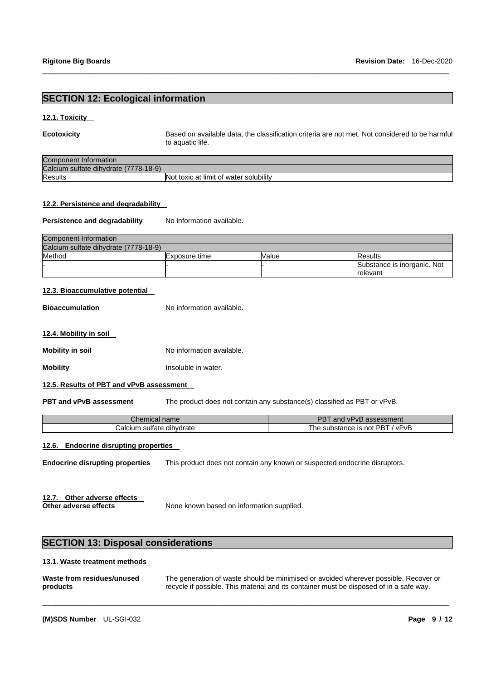# **SECTION 12: Ecological information**

#### **12.1. Toxicity**

**Ecotoxicity** Based on available data, the classification criteria are not met. Not considered to be harmful to aquatic life.

| <b>Component Information</b>          |                                        |
|---------------------------------------|----------------------------------------|
| Calcium sulfate dihydrate (7778-18-9) |                                        |
| <b>Results</b>                        | Not toxic at limit of water solubility |

\_\_\_\_\_\_\_\_\_\_\_\_\_\_\_\_\_\_\_\_\_\_\_\_\_\_\_\_\_\_\_\_\_\_\_\_\_\_\_\_\_\_\_\_\_\_\_\_\_\_\_\_\_\_\_\_\_\_\_\_\_\_\_\_\_\_\_\_\_\_\_\_\_\_\_\_\_\_\_\_\_\_\_\_\_\_\_\_\_\_\_\_\_

#### **12.2. Persistence and degradability**

Persistence and degradability No information available.

| Component Information                 |               |              |                             |
|---------------------------------------|---------------|--------------|-----------------------------|
| Calcium sulfate dihydrate (7778-18-9) |               |              |                             |
| Method                                | Exposure time | <b>Value</b> | <b>Results</b>              |
|                                       |               |              | Substance is inorganic. Not |
|                                       |               |              | <b>relevant</b>             |

#### **12.3. Bioaccumulative potential**

**Bioaccumulation** No information available.

#### **12.4. Mobility in soil**

**Mobility in soil** No information available.

**Mobility Insoluble in water.** 

#### **12.5. Results of PBT and vPvB assessment**

**PBT and vPvB assessment** The product does not contain any substance(s) classified as PBT or vPvB.

| Chemical name             | and vPvB assessment             |
|---------------------------|---------------------------------|
| Calcium sulfate dihydrate | The substance is not PBT / vPvB |

## **12.6. Endocrine disrupting properties**

**Endocrine disrupting properties** This product does not contain any known or suspected endocrine disruptors.

**12.7. Other adverse effects**

None known based on information supplied.

# **SECTION 13: Disposal considerations**

#### **13.1. Waste treatment methods**

| Waste from residues/unused | The generation of waste should be minimised or avoided wherever possible. Recover or    |
|----------------------------|-----------------------------------------------------------------------------------------|
| products                   | recycle if possible. This material and its container must be disposed of in a safe way. |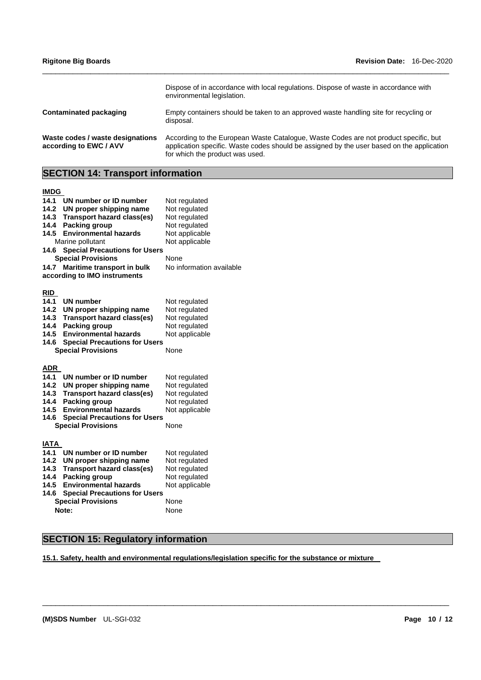| <b>Rigitone Big Boards</b>       | <b>Revision Date: 16-Dec-2020</b>                                                                                  |
|----------------------------------|--------------------------------------------------------------------------------------------------------------------|
|                                  | Dispose of in accordance with local regulations. Dispose of waste in accordance with<br>environmental legislation. |
| Contaminated packaging           | Empty containers should be taken to an approved waste handling site for recycling or<br>disposal.                  |
| Waste codes / waste designations | According to the European Waste Catalogue, Waste Codes are not product specific, but                               |

for which the product was used.

application specific. Waste codes should be assigned by the user based on the application

**SECTION 14: Transport information**

# **IMDG**

**according to EWC / AVV**

| טשוו        |                                      |                          |
|-------------|--------------------------------------|--------------------------|
| 14.1        | UN number or ID number               | Not regulated            |
| 14.2        | UN proper shipping name              | Not regulated            |
| 14.3        | <b>Transport hazard class(es)</b>    | Not regulated            |
| 14.4        | Packing group                        | Not regulated            |
| 14.5        | <b>Environmental hazards</b>         | Not applicable           |
|             | Marine pollutant                     | Not applicable           |
| 14.6        | <b>Special Precautions for Users</b> |                          |
|             | <b>Special Provisions</b>            | None                     |
| 14.7        | Maritime transport in bulk           | No information available |
|             | according to IMO instruments         |                          |
|             |                                      |                          |
| <u>RID</u>  |                                      |                          |
| 14.1        | UN number                            | Not regulated            |
| 14.2        | UN proper shipping name              | Not regulated            |
| 14.3        | <b>Transport hazard class(es)</b>    | Not regulated            |
| 14.4        | Packing group                        | Not regulated            |
| 14.5        | <b>Environmental hazards</b>         | Not applicable           |
| 14.6        | <b>Special Precautions for Users</b> |                          |
|             | <b>Special Provisions</b>            | None                     |
|             |                                      |                          |
| <u>ADR</u>  |                                      |                          |
| 14.1        | UN number or ID number               | Not regulated            |
| 14.2        | UN proper shipping name              | Not regulated            |
| 14.3        | <b>Transport hazard class(es)</b>    | Not regulated            |
| 14.4        | Packing group                        | Not regulated            |
| 14.5        | <b>Environmental hazards</b>         | Not applicable           |
| 14.6        | <b>Special Precautions for Users</b> |                          |
|             | <b>Special Provisions</b>            | None                     |
|             |                                      |                          |
| <b>IATA</b> |                                      |                          |
| 14.1        | UN number or ID number               | Not regulated            |
| 14.2        | UN proper shipping name              | Not regulated            |
| 14.3        | <b>Transport hazard class(es)</b>    | Not regulated            |
| 14.4        | <b>Packing group</b>                 | Not regulated            |
| 14.5        | <b>Environmental hazards</b>         | Not applicable           |
| 14.6        | <b>Special Precautions for Users</b> |                          |
|             | <b>Special Provisions</b>            | None                     |
|             | Note:                                | None                     |

# **SECTION 15: Regulatory information**

**15.1. Safety, health and environmental regulations/legislation specific for the substance or mixture**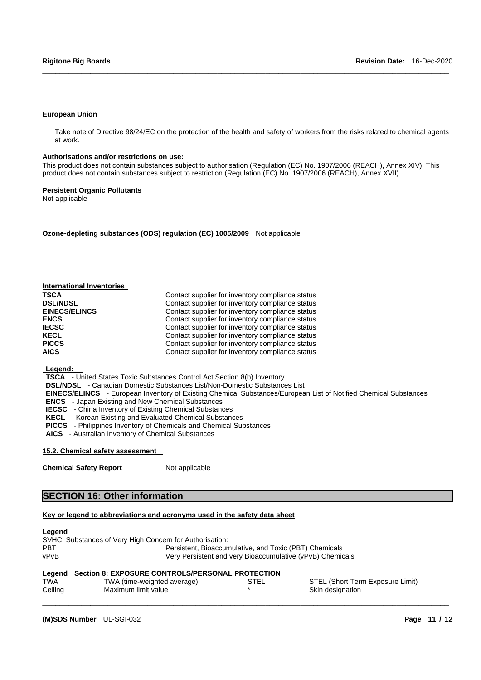#### **European Union**

Take note of Directive 98/24/EC on the protection of the health and safety of workers from the risks related to chemical agents at work.

\_\_\_\_\_\_\_\_\_\_\_\_\_\_\_\_\_\_\_\_\_\_\_\_\_\_\_\_\_\_\_\_\_\_\_\_\_\_\_\_\_\_\_\_\_\_\_\_\_\_\_\_\_\_\_\_\_\_\_\_\_\_\_\_\_\_\_\_\_\_\_\_\_\_\_\_\_\_\_\_\_\_\_\_\_\_\_\_\_\_\_\_\_

#### **Authorisations and/or restrictions on use:**

This product does not contain substances subject to authorisation (Regulation (EC) No. 1907/2006 (REACH), Annex XIV). This product does not contain substances subject to restriction (Regulation (EC) No. 1907/2006 (REACH), Annex XVII).

#### **Persistent Organic Pollutants**

Not applicable

**Ozone-depleting substances (ODS) regulation (EC) 1005/2009** Not applicable

| <b>International Inventories</b> |                                                  |
|----------------------------------|--------------------------------------------------|
| <b>TSCA</b>                      | Contact supplier for inventory compliance status |
| <b>DSL/NDSL</b>                  | Contact supplier for inventory compliance status |
| <b>EINECS/ELINCS</b>             | Contact supplier for inventory compliance status |
| <b>ENCS</b>                      | Contact supplier for inventory compliance status |
| <b>IECSC</b>                     | Contact supplier for inventory compliance status |
| <b>KECL</b>                      | Contact supplier for inventory compliance status |
| <b>PICCS</b>                     | Contact supplier for inventory compliance status |
| <b>AICS</b>                      | Contact supplier for inventory compliance status |

**Legend:**

**TSCA** - United States Toxic Substances Control Act Section 8(b) Inventory

**DSL/NDSL** - Canadian Domestic Substances List/Non-Domestic Substances List

**EINECS/ELINCS** - European Inventory of Existing Chemical Substances/European List of Notified Chemical Substances

**ENCS** - Japan Existing and New Chemical Substances

**IECSC** - China Inventory of Existing Chemical Substances

**KECL** - Korean Existing and Evaluated Chemical Substances

**PICCS** - Philippines Inventory of Chemicals and Chemical Substances

**AICS** - Australian Inventory of Chemical Substances

#### **15.2. Chemical safety assessment**

**Chemical Safety Report** Not applicable

# **SECTION 16: Other information**

#### **Key or legend to abbreviations and acronyms used in the safety data sheet**

#### **Legend**

SVHC: Substances of Very High Concern for Authorisation: PBT Persistent, Bioaccumulative, and Toxic (PBT) Chemicals vPvB Very Persistent and very Bioaccumulative (vPvB) Chemicals

#### **Legend Section 8: EXPOSURE CONTROLS/PERSONAL PROTECTION**

| TWA     | TWA (time-weighted average) | STEL | STEL (Short Term Exposure Limit) |
|---------|-----------------------------|------|----------------------------------|
| Ceiling | Maximum limit value         |      | Skin designation                 |